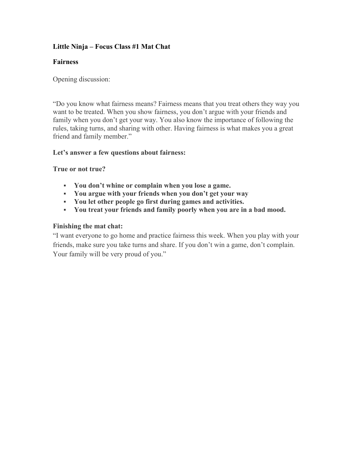# **Little Ninja – Focus Class #1 Mat Chat**

## **Fairness**

Opening discussion:

"Do you know what fairness means? Fairness means that you treat others they way you want to be treated. When you show fairness, you don't argue with your friends and family when you don't get your way. You also know the importance of following the rules, taking turns, and sharing with other. Having fairness is what makes you a great friend and family member."

# **Let's answer a few questions about fairness:**

**True or not true?** 

- **You don't whine or complain when you lose a game.**
- **You argue with your friends when you don't get your way**
- **You let other people go first during games and activities.**
- **You treat your friends and family poorly when you are in a bad mood.**

# **Finishing the mat chat:**

"I want everyone to go home and practice fairness this week. When you play with your friends, make sure you take turns and share. If you don't win a game, don't complain. Your family will be very proud of you."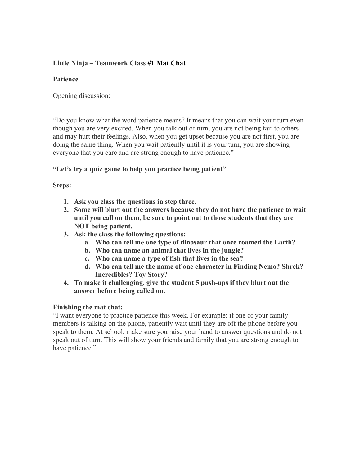# **Little Ninja – Teamwork Class #1 Mat Chat**

### **Patience**

Opening discussion:

"Do you know what the word patience means? It means that you can wait your turn even though you are very excited. When you talk out of turn, you are not being fair to others and may hurt their feelings. Also, when you get upset because you are not first, you are doing the same thing. When you wait patiently until it is your turn, you are showing everyone that you care and are strong enough to have patience."

### **"Let's try a quiz game to help you practice being patient"**

### **Steps:**

- **1. Ask you class the questions in step three.**
- **2. Some will blurt out the answers because they do not have the patience to wait until you call on them, be sure to point out to those students that they are NOT being patient.**
- **3. Ask the class the following questions:** 
	- **a. Who can tell me one type of dinosaur that once roamed the Earth?**
	- **b. Who can name an animal that lives in the jungle?**
	- **c. Who can name a type of fish that lives in the sea?**
	- **d. Who can tell me the name of one character in Finding Nemo? Shrek? Incredibles? Toy Story?**
- **4. To make it challenging, give the student 5 push-ups if they blurt out the answer before being called on.**

#### **Finishing the mat chat:**

"I want everyone to practice patience this week. For example: if one of your family members is talking on the phone, patiently wait until they are off the phone before you speak to them. At school, make sure you raise your hand to answer questions and do not speak out of turn. This will show your friends and family that you are strong enough to have patience."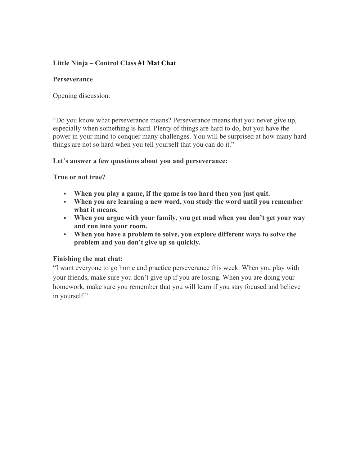# **Little Ninja – Control Class #1 Mat Chat**

### **Perseverance**

Opening discussion:

"Do you know what perseverance means? Perseverance means that you never give up, especially when something is hard. Plenty of things are hard to do, but you have the power in your mind to conquer many challenges. You will be surprised at how many hard things are not so hard when you tell yourself that you can do it."

#### **Let's answer a few questions about you and perseverance:**

**True or not true?** 

- **When you play a game, if the game is too hard then you just quit.**
- **When you are learning a new word, you study the word until you remember what it means.**
- **When you argue with your family, you get mad when you don't get your way and run into your room.**
- **When you have a problem to solve, you explore different ways to solve the problem and you don't give up so quickly.**

#### **Finishing the mat chat:**

"I want everyone to go home and practice perseverance this week. When you play with your friends, make sure you don't give up if you are losing. When you are doing your homework, make sure you remember that you will learn if you stay focused and believe in yourself."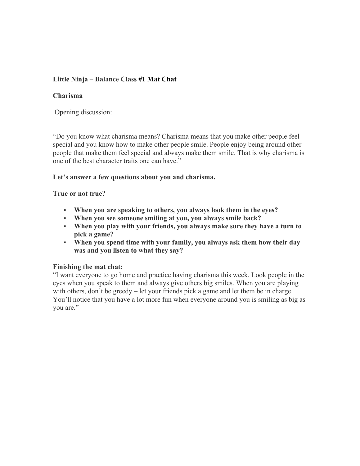# **Little Ninja – Balance Class #1 Mat Chat**

### **Charisma**

Opening discussion:

"Do you know what charisma means? Charisma means that you make other people feel special and you know how to make other people smile. People enjoy being around other people that make them feel special and always make them smile. That is why charisma is one of the best character traits one can have."

### **Let's answer a few questions about you and charisma.**

#### **True or not true?**

- **When you are speaking to others, you always look them in the eyes?**
- **When you see someone smiling at you, you always smile back?**
- **When you play with your friends, you always make sure they have a turn to pick a game?**
- **When you spend time with your family, you always ask them how their day was and you listen to what they say?**

## **Finishing the mat chat:**

"I want everyone to go home and practice having charisma this week. Look people in the eyes when you speak to them and always give others big smiles. When you are playing with others, don't be greedy – let your friends pick a game and let them be in charge. You'll notice that you have a lot more fun when everyone around you is smiling as big as you are."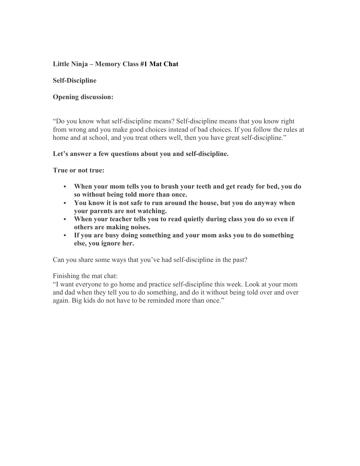# **Little Ninja – Memory Class #1 Mat Chat**

### **Self-Discipline**

### **Opening discussion:**

"Do you know what self-discipline means? Self-discipline means that you know right from wrong and you make good choices instead of bad choices. If you follow the rules at home and at school, and you treat others well, then you have great self-discipline."

#### **Let's answer a few questions about you and self-discipline.**

#### **True or not true:**

- **When your mom tells you to brush your teeth and get ready for bed, you do so without being told more than once.**
- **You know it is not safe to run around the house, but you do anyway when your parents are not watching.**
- **When your teacher tells you to read quietly during class you do so even if others are making noises.**
- **If you are busy doing something and your mom asks you to do something else, you ignore her.**

Can you share some ways that you've had self-discipline in the past?

Finishing the mat chat:

"I want everyone to go home and practice self-discipline this week. Look at your mom and dad when they tell you to do something, and do it without being told over and over again. Big kids do not have to be reminded more than once."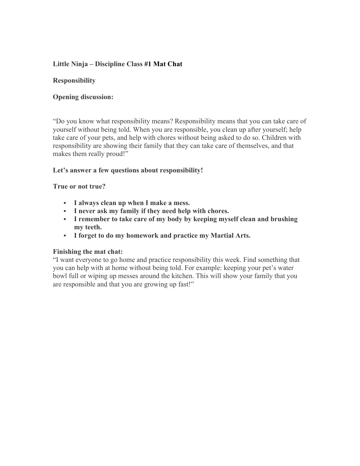# **Little Ninja – Discipline Class #1 Mat Chat**

### **Responsibility**

### **Opening discussion:**

"Do you know what responsibility means? Responsibility means that you can take care of yourself without being told. When you are responsible, you clean up after yourself; help take care of your pets, and help with chores without being asked to do so. Children with responsibility are showing their family that they can take care of themselves, and that makes them really proud!"

#### **Let's answer a few questions about responsibility!**

#### **True or not true?**

- **I always clean up when I make a mess.**
- **I never ask my family if they need help with chores.**
- **I remember to take care of my body by keeping myself clean and brushing my teeth.**
- **I forget to do my homework and practice my Martial Arts.**

#### **Finishing the mat chat:**

"I want everyone to go home and practice responsibility this week. Find something that you can help with at home without being told. For example: keeping your pet's water bowl full or wiping up messes around the kitchen. This will show your family that you are responsible and that you are growing up fast!"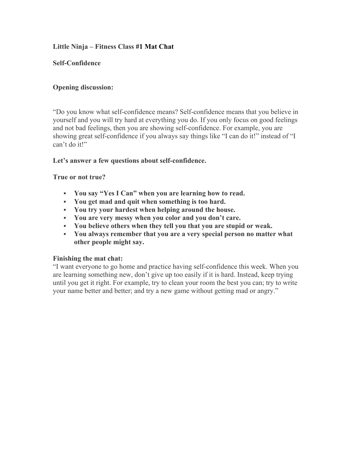# **Little Ninja – Fitness Class #1 Mat Chat**

### **Self-Confidence**

## **Opening discussion:**

"Do you know what self-confidence means? Self-confidence means that you believe in yourself and you will try hard at everything you do. If you only focus on good feelings and not bad feelings, then you are showing self-confidence. For example, you are showing great self-confidence if you always say things like "I can do it!" instead of "I can't do it!"

### **Let's answer a few questions about self-confidence.**

### **True or not true?**

- **You say "Yes I Can" when you are learning how to read.**
- **You get mad and quit when something is too hard.**
- **You try your hardest when helping around the house.**
- **You are very messy when you color and you don't care.**
- **You believe others when they tell you that you are stupid or weak.**
- **You always remember that you are a very special person no matter what other people might say.**

#### **Finishing the mat chat:**

"I want everyone to go home and practice having self-confidence this week. When you are learning something new, don't give up too easily if it is hard. Instead, keep trying until you get it right. For example, try to clean your room the best you can; try to write your name better and better; and try a new game without getting mad or angry."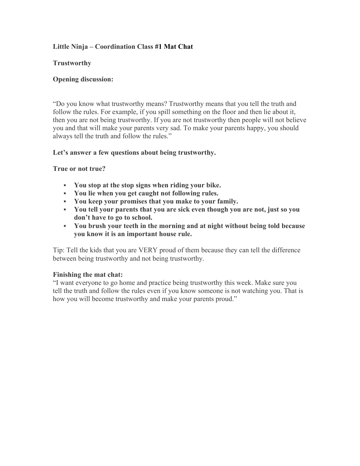# **Little Ninja – Coordination Class #1 Mat Chat**

### **Trustworthy**

### **Opening discussion:**

"Do you know what trustworthy means? Trustworthy means that you tell the truth and follow the rules. For example, if you spill something on the floor and then lie about it, then you are not being trustworthy. If you are not trustworthy then people will not believe you and that will make your parents very sad. To make your parents happy, you should always tell the truth and follow the rules."

### **Let's answer a few questions about being trustworthy.**

### **True or not true?**

- **You stop at the stop signs when riding your bike.**
- **You lie when you get caught not following rules.**
- **You keep your promises that you make to your family.**
- **You tell your parents that you are sick even though you are not, just so you don't have to go to school.**
- **You brush your teeth in the morning and at night without being told because you know it is an important house rule.**

Tip: Tell the kids that you are VERY proud of them because they can tell the difference between being trustworthy and not being trustworthy.

#### **Finishing the mat chat:**

"I want everyone to go home and practice being trustworthy this week. Make sure you tell the truth and follow the rules even if you know someone is not watching you. That is how you will become trustworthy and make your parents proud."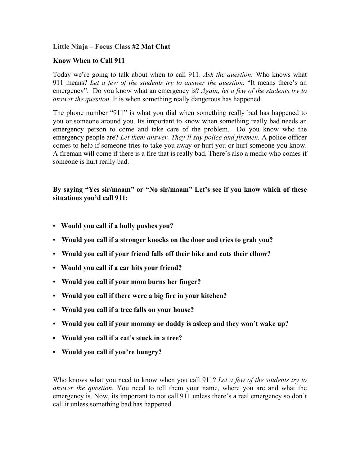### **Little Ninja – Focus Class #2 Mat Chat**

### **Know When to Call 911**

Today we're going to talk about when to call 911. *Ask the question:* Who knows what 911 means? *Let a few of the students try to answer the question.* "It means there's an emergency". Do you know what an emergency is? *Again, let a few of the students try to answer the question.* It is when something really dangerous has happened.

The phone number "911" is what you dial when something really bad has happened to you or someone around you. Its important to know when something really bad needs an emergency person to come and take care of the problem. Do you know who the emergency people are? *Let them answer. They'll say police and firemen.* A police officer comes to help if someone tries to take you away or hurt you or hurt someone you know. A fireman will come if there is a fire that is really bad. There's also a medic who comes if someone is hurt really bad.

**By saying "Yes sir/maam" or "No sir/maam" Let's see if you know which of these situations you'd call 911:**

- **• Would you call if a bully pushes you?**
- **• Would you call if a stronger knocks on the door and tries to grab you?**
- **• Would you call if your friend falls off their bike and cuts their elbow?**
- **• Would you call if a car hits your friend?**
- **• Would you call if your mom burns her finger?**
- **• Would you call if there were a big fire in your kitchen?**
- **• Would you call if a tree falls on your house?**
- **• Would you call if your mommy or daddy is asleep and they won't wake up?**
- **• Would you call if a cat's stuck in a tree?**
- **• Would you call if you're hungry?**

Who knows what you need to know when you call 911? *Let a few of the students try to answer the question.* You need to tell them your name, where you are and what the emergency is. Now, its important to not call 911 unless there's a real emergency so don't call it unless something bad has happened.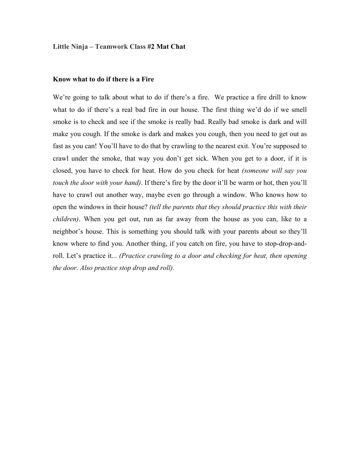#### **Little Ninja – Teamwork Class #2 Mat Chat**

#### **Know what to do if there is a Fire**

We're going to talk about what to do if there's a fire. We practice a fire drill to know what to do if there's a real bad fire in our house. The first thing we'd do if we smell smoke is to check and see if the smoke is really bad. Really bad smoke is dark and will make you cough. If the smoke is dark and makes you cough, then you need to get out as fast as you can! You'll have to do that by crawling to the nearest exit. You're supposed to crawl under the smoke, that way you don't get sick. When you get to a door, if it is closed, you have to check for heat. How do you check for heat *(someone will say you touch the door with your hand)*. If there's fire by the door it'll be warm or hot, then you'll have to crawl out another way, maybe even go through a window. Who knows how to open the windows in their house? *(tell the parents that they should practice this with their children)*. When you get out, run as far away from the house as you can, like to a neighbor's house. This is something you should talk with your parents about so they'll know where to find you. Another thing, if you catch on fire, you have to stop-drop-androll. Let's practice it... *(Practice crawling to a door and checking for heat, then opening the door. Also practice stop drop and roll).*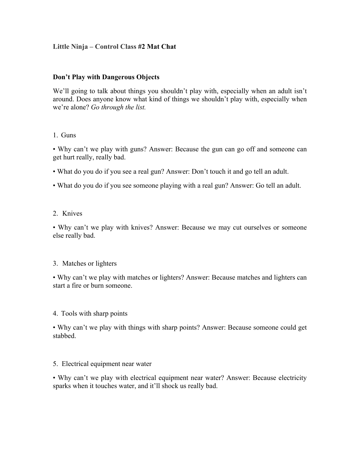## **Little Ninja – Control Class #2 Mat Chat**

#### **Don't Play with Dangerous Objects**

We'll going to talk about things you shouldn't play with, especially when an adult isn't around. Does anyone know what kind of things we shouldn't play with, especially when we're alone? *Go through the list.*

#### 1. Guns

• Why can't we play with guns? Answer: Because the gun can go off and someone can get hurt really, really bad.

- What do you do if you see a real gun? Answer: Don't touch it and go tell an adult.
- What do you do if you see someone playing with a real gun? Answer: Go tell an adult.

#### 2. Knives

• Why can't we play with knives? Answer: Because we may cut ourselves or someone else really bad.

#### 3. Matches or lighters

• Why can't we play with matches or lighters? Answer: Because matches and lighters can start a fire or burn someone.

#### 4. Tools with sharp points

• Why can't we play with things with sharp points? Answer: Because someone could get stabbed.

#### 5. Electrical equipment near water

• Why can't we play with electrical equipment near water? Answer: Because electricity sparks when it touches water, and it'll shock us really bad.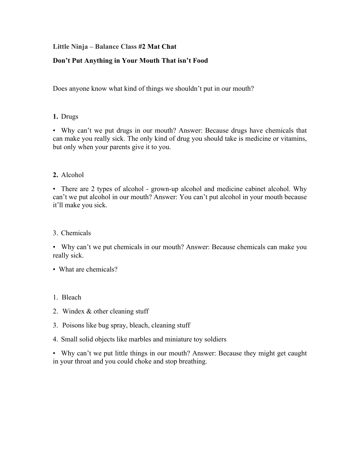## **Little Ninja – Balance Class #2 Mat Chat**

## **Don't Put Anything in Your Mouth That isn't Food**

Does anyone know what kind of things we shouldn't put in our mouth?

## **1.** Drugs

• Why can't we put drugs in our mouth? Answer: Because drugs have chemicals that can make you really sick. The only kind of drug you should take is medicine or vitamins, but only when your parents give it to you.

## **2.** Alcohol

• There are 2 types of alcohol - grown-up alcohol and medicine cabinet alcohol. Why can't we put alcohol in our mouth? Answer: You can't put alcohol in your mouth because it'll make you sick.

3. Chemicals

• Why can't we put chemicals in our mouth? Answer: Because chemicals can make you really sick.

## • What are chemicals?

## 1. Bleach

- 2. Windex & other cleaning stuff
- 3. Poisons like bug spray, bleach, cleaning stuff
- 4. Small solid objects like marbles and miniature toy soldiers

• Why can't we put little things in our mouth? Answer: Because they might get caught in your throat and you could choke and stop breathing.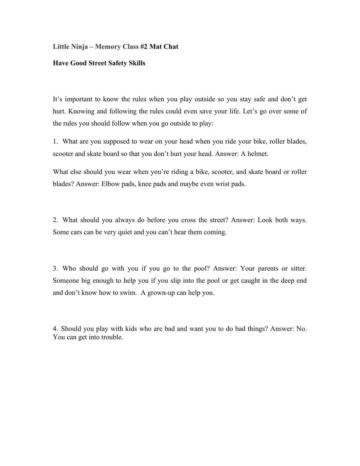#### **Little Ninja – Memory Class #2 Mat Chat**

#### **Have Good Street Safety Skills**

It's important to know the rules when you play outside so you stay safe and don't get hurt. Knowing and following the rules could even save your life. Let's go over some of the rules you should follow when you go outside to play:

1. What are you supposed to wear on your head when you ride your bike, roller blades, scooter and skate board so that you don't hurt your head. Answer: A helmet.

What else should you wear when you're riding a bike, scooter, and skate board or roller blades? Answer: Elbow pads, knee pads and maybe even wrist pads.

2. What should you always do before you cross the street? Answer: Look both ways. Some cars can be very quiet and you can't hear them coming.

3. Who should go with you if you go to the pool? Answer: Your parents or sitter. Someone big enough to help you if you slip into the pool or get caught in the deep end and don't know how to swim. A grown-up can help you.

4. Should you play with kids who are bad and want you to do bad things? Answer: No. You can get into trouble.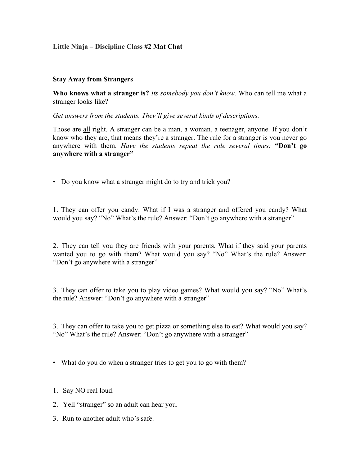## **Little Ninja – Discipline Class #2 Mat Chat**

#### **Stay Away from Strangers**

**Who knows what a stranger is?** *Its somebody you don't know.* Who can tell me what a stranger looks like?

*Get answers from the students. They'll give several kinds of descriptions.*

Those are all right. A stranger can be a man, a woman, a teenager, anyone. If you don't know who they are, that means they're a stranger. The rule for a stranger is you never go anywhere with them. *Have the students repeat the rule several times:* **"Don't go anywhere with a stranger"**

• Do you know what a stranger might do to try and trick you?

1. They can offer you candy. What if I was a stranger and offered you candy? What would you say? "No" What's the rule? Answer: "Don't go anywhere with a stranger"

2. They can tell you they are friends with your parents. What if they said your parents wanted you to go with them? What would you say? "No" What's the rule? Answer: "Don't go anywhere with a stranger"

3. They can offer to take you to play video games? What would you say? "No" What's the rule? Answer: "Don't go anywhere with a stranger"

3. They can offer to take you to get pizza or something else to eat? What would you say? "No" What's the rule? Answer: "Don't go anywhere with a stranger"

- What do you do when a stranger tries to get you to go with them?
- 1. Say NO real loud.
- 2. Yell "stranger" so an adult can hear you.
- 3. Run to another adult who's safe.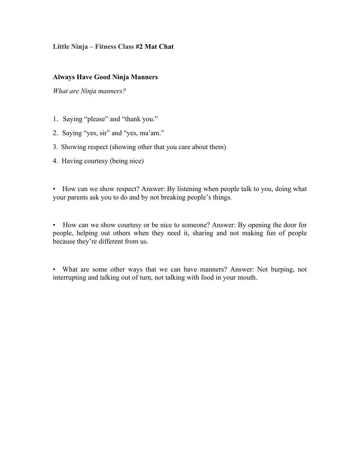## **Little Ninja – Fitness Class #2 Mat Chat**

### **Always Have Good Ninja Manners**

*What are Ninja manners?*

- 1. Saying "please" and "thank you."
- 2. Saying "yes, sir" and "yes, ma'am."
- 3. Showing respect (showing other that you care about them)
- 4. Having courtesy (being nice)

• How can we show respect? Answer: By listening when people talk to you, doing what your parents ask you to do and by not breaking people's things.

• How can we show courtesy or be nice to someone? Answer: By opening the door for people, helping out others when they need it, sharing and not making fun of people because they're different from us.

• What are some other ways that we can have manners? Answer: Not burping, not interrupting and talking out of turn, not talking with food in your mouth.